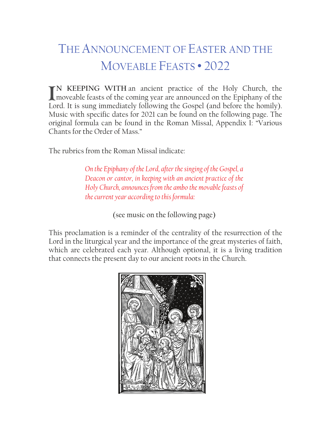## THE ANNOUNCEMENT OF EASTER AND THE MOVEABLE FEASTS • 2022

**N KEEPING WITH** an ancient practice of the Holy Church, the moveable feasts of the coming year are announced on the Epiphany of the Lord. It is sung immediately following the Gospel (and before the homily). Music with specific dates for 2021 can be found on the following page. The original formula can be found in the Roman Missal, Appendix I: "Various Chants for the Order of Mass."

The rubrics from the Roman Missal indicate:

*On the Epiphany of the Lord, afterthesinging of the Gospel, a Deacon or cantor, in keeping with an ancient practice of the Holy Church, announces from the ambo the movable feasts of the current year according to this formula:* 

(see music on the following page)

This proclamation is a reminder of the centrality of the resurrection of the Lord in the liturgical year and the importance of the great mysteries of faith, which are celebrated each year. Although optional, it is a living tradition that connects the present day to our ancient roots in the Church.

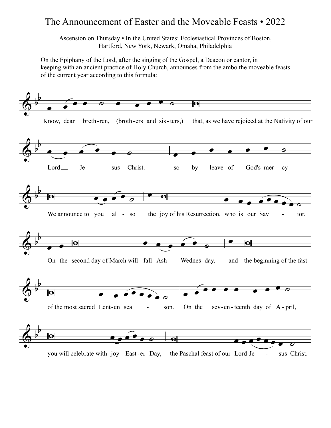## The Announcement of Easter and the Moveable Feasts • 2022

Ascension on Thursday • In the United States: Ecclesiastical Provinces of Boston, Hartford, New York, Newark, Omaha, Philadelphia

On the Epiphany of the Lord, after the singing of the Gospel, a Deacon or cantor, in keeping with an ancient practice of Holy Church, announces from the ambo the moveable feasts of the current year according to this formula: